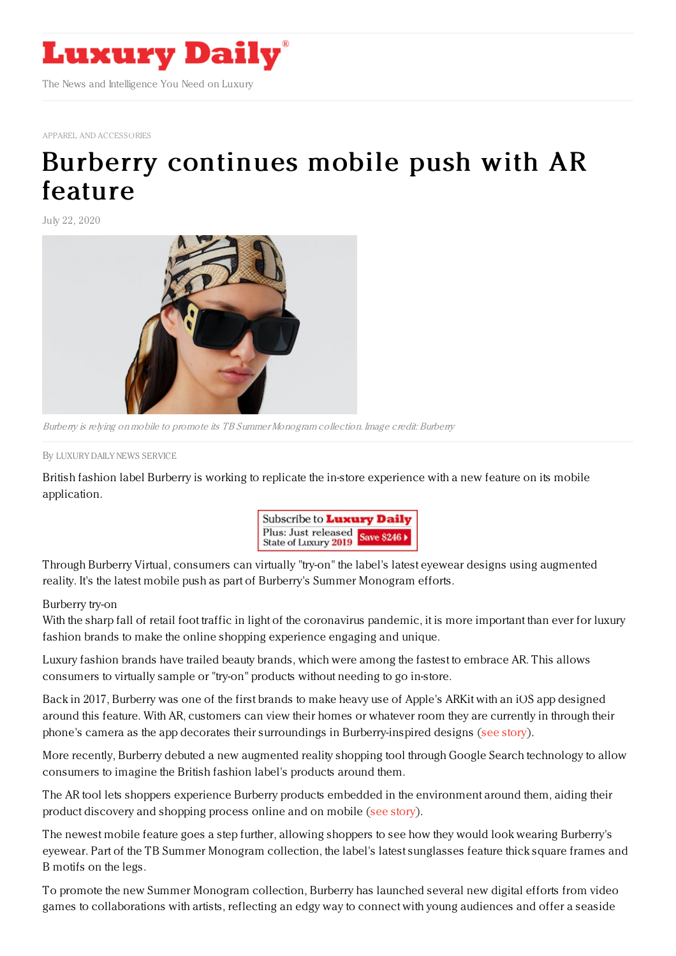

APPAREL AND [ACCESSORIES](https://www.luxurydaily.com/category/sectors/apparel-and-accessories/)

## Burberry [continues](https://www.luxurydaily.com/burberry-continues-mobile-push-with-ar-feature/) mobile push with AR feature

July 22, 2020



Burberry is relying on mobile to promote its TB Summer Monogram collection. Image credit: Burberry

By LUXURY DAILY NEWS [SERVICE](file:///author/luxury-daily-news-service)

British fashion label Burberry is working to replicate the in-store experience with a new feature on its mobile application.



Through Burberry Virtual, consumers can virtually "try-on" the label's latest eyewear designs using augmented reality. It's the latest mobile push as part of Burberry's Summer Monogram efforts.

## Burberry try-on

With the sharp fall of retail foot traffic in light of the coronavirus pandemic, it is more important than ever for luxury fashion brands to make the online shopping experience engaging and unique.

Luxury fashion brands have trailed beauty brands, which were among the fastest to embrace AR. This allows consumers to virtually sample or "try-on" products without needing to go in-store.

Back in 2017, Burberry was one of the first brands to make heavy use of Apple's ARKit with an iOS app designed around this feature. With AR, customers can view their homes or whatever room they are currently in through their phone's camera as the app decorates their surroundings in Burberry-inspired designs (see [story](https://www.luxurydaily.com/burberry-is-first-luxury-brand-to-work-with-apples-new-ar-toolset/)).

More recently, Burberry debuted a new augmented reality shopping tool through Google Search technology to allow consumers to imagine the British fashion label's products around them.

The AR tool lets shoppers experience Burberry products embedded in the environment around them, aiding their product discovery and shopping process online and on mobile (see [story](https://www.luxurydaily.com/burberry-simulating-in-store-experience-debuts-augmented-reality-shopping-tool-via-google-search/)).

The newest mobile feature goes a step further, allowing shoppers to see how they would look wearing Burberry's eyewear. Part of the TB Summer Monogram collection, the label's latest sunglasses feature thick square frames and B motifs on the legs.

To promote the new Summer Monogram collection, Burberry has launched several new digital efforts from video games to collaborations with artists, reflecting an edgy way to connect with young audiences and offer a seaside